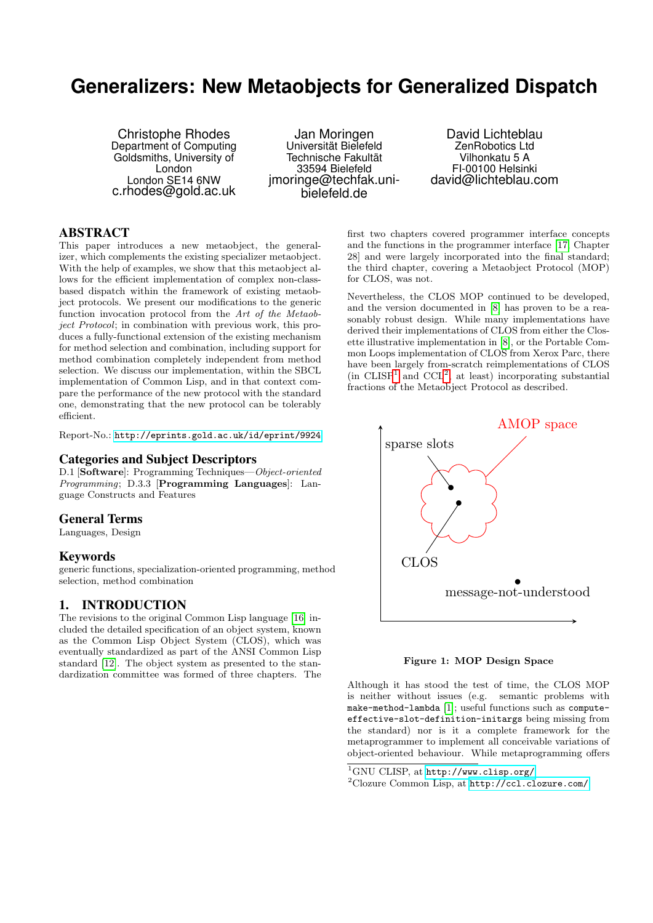# **Generalizers: New Metaobjects for Generalized Dispatch**

Christophe Rhodes Department of Computing Goldsmiths, University of London London SE14 6NW c.rhodes@gold.ac.uk

Jan Moringen Universität Bielefeld Technische Fakultät 33594 Bielefeld jmoringe@techfak.unibielefeld.de

David Lichteblau ZenRobotics Ltd Vilhonkatu 5 A FI-00100 Helsinki david@lichteblau.com

# ABSTRACT

This paper introduces a new metaobject, the generalizer, which complements the existing specializer metaobject. With the help of examples, we show that this metaobject allows for the efficient implementation of complex non-classbased dispatch within the framework of existing metaobject protocols. We present our modifications to the generic function invocation protocol from the Art of the Metaobject Protocol; in combination with previous work, this produces a fully-functional extension of the existing mechanism for method selection and combination, including support for method combination completely independent from method selection. We discuss our implementation, within the SBCL implementation of Common Lisp, and in that context compare the performance of the new protocol with the standard one, demonstrating that the new protocol can be tolerably efficient.

Report-No.: <http://eprints.gold.ac.uk/id/eprint/9924>

#### Categories and Subject Descriptors

D.1 [Software]: Programming Techniques—Object-oriented Programming; D.3.3 [Programming Languages]: Language Constructs and Features

#### General Terms

Languages, Design

#### Keywords

generic functions, specialization-oriented programming, method selection, method combination

# 1. INTRODUCTION

The revisions to the original Common Lisp language [\[16\]](#page-7-0) included the detailed specification of an object system, known as the Common Lisp Object System (CLOS), which was eventually standardized as part of the ANSI Common Lisp standard [\[12\]](#page-7-1). The object system as presented to the standardization committee was formed of three chapters. The

first two chapters covered programmer interface concepts and the functions in the programmer interface [\[17,](#page-7-2) Chapter 28] and were largely incorporated into the final standard; the third chapter, covering a Metaobject Protocol (MOP) for CLOS, was not.

Nevertheless, the CLOS MOP continued to be developed, and the version documented in [\[8\]](#page-7-3) has proven to be a reasonably robust design. While many implementations have derived their implementations of CLOS from either the Closette illustrative implementation in [\[8\]](#page-7-3), or the Portable Common Loops implementation of CLOS from Xerox Parc, there have been largely from-scratch reimplementations of CLOS  $(in CLISP<sup>1</sup> and CCL<sup>2</sup>, at least) incorporating substantial$  $(in CLISP<sup>1</sup> and CCL<sup>2</sup>, at least) incorporating substantial$  $(in CLISP<sup>1</sup> and CCL<sup>2</sup>, at least) incorporating substantial$  $(in CLISP<sup>1</sup> and CCL<sup>2</sup>, at least) incorporating substantial$  $(in CLISP<sup>1</sup> and CCL<sup>2</sup>, at least) incorporating substantial$ fractions of the Metaobject Protocol as described.



<span id="page-0-2"></span>Figure 1: MOP Design Space

Although it has stood the test of time, the CLOS MOP is neither without issues (e.g. semantic problems with make-method-lambda [\[1\]](#page-7-4); useful functions such as computeeffective-slot-definition-initargs being missing from the standard) nor is it a complete framework for the metaprogrammer to implement all conceivable variations of object-oriented behaviour. While metaprogramming offers

<span id="page-0-0"></span> $\mathrm{^{1}GNU}$  CLISP, at  $\texttt{http://www.classp.org/}$ 

<span id="page-0-1"></span><sup>2</sup>Clozure Common Lisp, at <http://ccl.clozure.com/>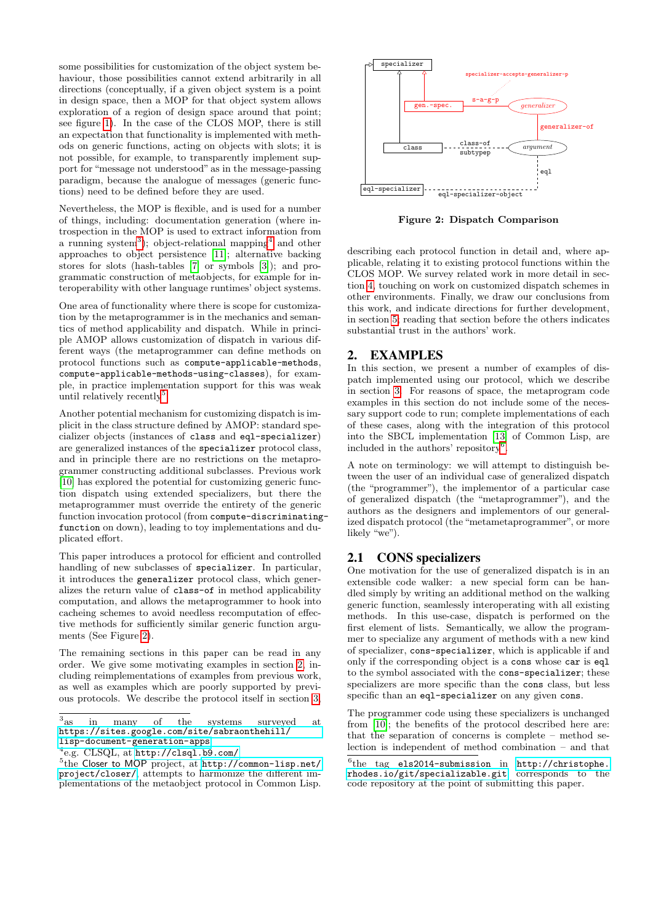some possibilities for customization of the object system behaviour, those possibilities cannot extend arbitrarily in all directions (conceptually, if a given object system is a point in design space, then a MOP for that object system allows exploration of a region of design space around that point; see figure [1\)](#page-0-2). In the case of the CLOS MOP, there is still an expectation that functionality is implemented with methods on generic functions, acting on objects with slots; it is not possible, for example, to transparently implement support for "message not understood" as in the message-passing paradigm, because the analogue of messages (generic functions) need to be defined before they are used.

Nevertheless, the MOP is flexible, and is used for a number of things, including: documentation generation (where introspection in the MOP is used to extract information from a running system<sup>[3](#page-1-0)</sup>); object-relational mapping<sup>[4](#page-1-1)</sup> and other approaches to object persistence [\[11\]](#page-7-5); alternative backing stores for slots (hash-tables [\[7\]](#page-7-6) or symbols [\[3\]](#page-7-7)); and programmatic construction of metaobjects, for example for interoperability with other language runtimes' object systems.

One area of functionality where there is scope for customization by the metaprogrammer is in the mechanics and semantics of method applicability and dispatch. While in principle AMOP allows customization of dispatch in various different ways (the metaprogrammer can define methods on protocol functions such as compute-applicable-methods, compute-applicable-methods-using-classes), for example, in practice implementation support for this was weak until relatively recently<sup>[5](#page-1-2)</sup>.

Another potential mechanism for customizing dispatch is implicit in the class structure defined by AMOP: standard specializer objects (instances of class and eql-specializer) are generalized instances of the specializer protocol class, and in principle there are no restrictions on the metaprogrammer constructing additional subclasses. Previous work [\[10\]](#page-7-8) has explored the potential for customizing generic function dispatch using extended specializers, but there the metaprogrammer must override the entirety of the generic function invocation protocol (from compute-discriminatingfunction on down), leading to toy implementations and duplicated effort.

This paper introduces a protocol for efficient and controlled handling of new subclasses of specializer. In particular, it introduces the generalizer protocol class, which generalizes the return value of class-of in method applicability computation, and allows the metaprogrammer to hook into cacheing schemes to avoid needless recomputation of effective methods for sufficiently similar generic function arguments (See Figure [2\)](#page-1-3).

The remaining sections in this paper can be read in any order. We give some motivating examples in section [2,](#page-1-4) including reimplementations of examples from previous work, as well as examples which are poorly supported by previous protocols. We describe the protocol itself in section [3,](#page-4-0)



<span id="page-1-3"></span>Figure 2: Dispatch Comparison

describing each protocol function in detail and, where applicable, relating it to existing protocol functions within the CLOS MOP. We survey related work in more detail in section [4,](#page-6-0) touching on work on customized dispatch schemes in other environments. Finally, we draw our conclusions from this work, and indicate directions for further development, in section [5;](#page-6-1) reading that section before the others indicates substantial trust in the authors' work.

### <span id="page-1-4"></span>2. EXAMPLES

In this section, we present a number of examples of dispatch implemented using our protocol, which we describe in section [3.](#page-4-0) For reasons of space, the metaprogram code examples in this section do not include some of the necessary support code to run; complete implementations of each of these cases, along with the integration of this protocol into the SBCL implementation [\[13\]](#page-7-9) of Common Lisp, are included in the authors' repository[6](#page-1-5) .

A note on terminology: we will attempt to distinguish between the user of an individual case of generalized dispatch (the "programmer"), the implementor of a particular case of generalized dispatch (the "metaprogrammer"), and the authors as the designers and implementors of our generalized dispatch protocol (the "metametaprogrammer", or more likely "we").

# <span id="page-1-6"></span>2.1 CONS specializers

One motivation for the use of generalized dispatch is in an extensible code walker: a new special form can be handled simply by writing an additional method on the walking generic function, seamlessly interoperating with all existing methods. In this use-case, dispatch is performed on the first element of lists. Semantically, we allow the programmer to specialize any argument of methods with a new kind of specializer, cons-specializer, which is applicable if and only if the corresponding object is a cons whose car is eql to the symbol associated with the cons-specializer; these specializers are more specific than the cons class, but less specific than an eql-specializer on any given cons.

The programmer code using these specializers is unchanged from [\[10\]](#page-7-8); the benefits of the protocol described here are: that the separation of concerns is complete – method selection is independent of method combination – and that

<span id="page-1-0"></span> $3_{\text{as}}$ in many of the systems surveyed at [https://sites.google.com/site/sabraonthehill/](https://sites.google.com/site/sabraonthehill/lisp-document-generation-apps) [lisp-document-generation-apps](https://sites.google.com/site/sabraonthehill/lisp-document-generation-apps)

<span id="page-1-1"></span><sup>4</sup> e.g. CLSQL, at <http://clsql.b9.com/>

<span id="page-1-2"></span><sup>5</sup> the Closer to MOP project, at [http://common-lisp.net/](http://common-lisp.net/project/closer/) [project/closer/](http://common-lisp.net/project/closer/), attempts to harmonize the different implementations of the metaobject protocol in Common Lisp.

<span id="page-1-5"></span><sup>6</sup> the tag els2014-submission in [http://christophe.](http://christophe.rhodes.io/git/specializable.git) [rhodes.io/git/specializable.git](http://christophe.rhodes.io/git/specializable.git) corresponds to the code repository at the point of submitting this paper.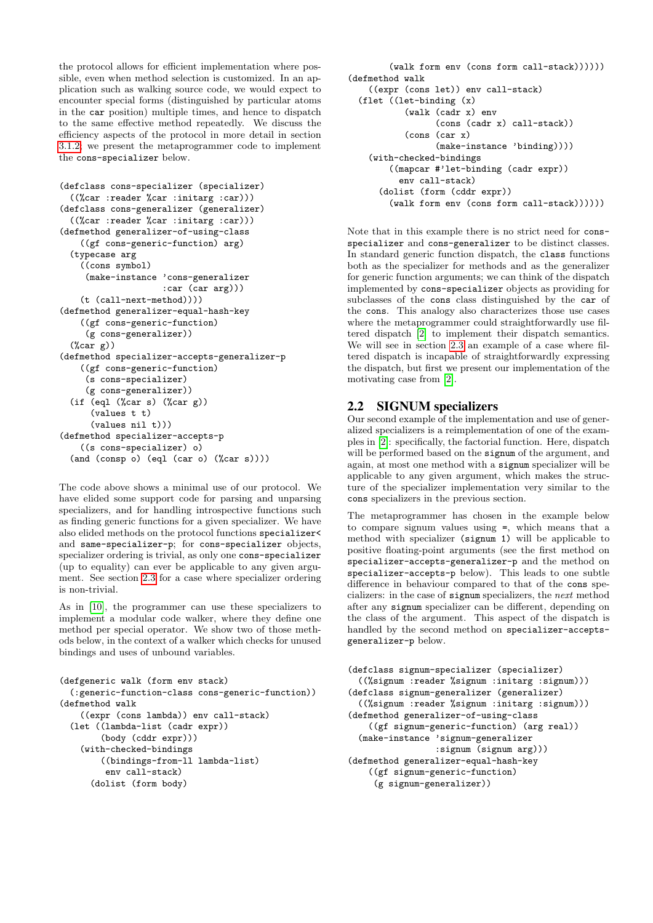the protocol allows for efficient implementation where possible, even when method selection is customized. In an application such as walking source code, we would expect to encounter special forms (distinguished by particular atoms in the car position) multiple times, and hence to dispatch to the same effective method repeatedly. We discuss the efficiency aspects of the protocol in more detail in section [3.1.2;](#page-5-0) we present the metaprogrammer code to implement the cons-specializer below.

```
(defclass cons-specializer (specializer)
  ((%car :reader %car :initarg :car)))
(defclass cons-generalizer (generalizer)
  ((%car :reader %car :initarg :car)))
(defmethod generalizer-of-using-class
    ((gf cons-generic-function) arg)
  (typecase arg
    ((cons symbol)
     (make-instance 'cons-generalizer
                    :car (car arg)))
    (t (call-next-method))))
(defmethod generalizer-equal-hash-key
    ((gf cons-generic-function)
     (g cons-generalizer))
 (%car g))
(defmethod specializer-accepts-generalizer-p
    ((gf cons-generic-function)
     (s cons-specializer)
     (g cons-generalizer))
  (if (eql (%car s) (%car g))(values t t)
      (values nil t)))
(defmethod specializer-accepts-p
    ((s cons-specializer) o)
  (and (consp o) (eql (car o) (%car s))))
```
The code above shows a minimal use of our protocol. We have elided some support code for parsing and unparsing specializers, and for handling introspective functions such as finding generic functions for a given specializer. We have also elided methods on the protocol functions specializer< and same-specializer-p; for cons-specializer objects, specializer ordering is trivial, as only one cons-specializer (up to equality) can ever be applicable to any given argument. See section [2.3](#page-3-0) for a case where specializer ordering is non-trivial.

As in [\[10\]](#page-7-8), the programmer can use these specializers to implement a modular code walker, where they define one method per special operator. We show two of those methods below, in the context of a walker which checks for unused bindings and uses of unbound variables.

```
(defgeneric walk (form env stack)
  (:generic-function-class cons-generic-function))
(defmethod walk
    ((expr (cons lambda)) env call-stack)
  (let ((lambda-list (cadr expr))
        (body (cddr expr)))
    (with-checked-bindings
        ((bindings-from-ll lambda-list)
         env call-stack)
      (dolist (form body)
```

```
(walk form env (cons form call-stack))))))
(defmethod walk
   ((expr (cons let)) env call-stack)
  (flet ((let-binding (x)
           (walk (cadr x) env
                 (cons (cadr x) call-stack))
           (cons (car x)
                 (make-instance 'binding))))
    (with-checked-bindings
        ((mapcar #'let-binding (cadr expr))
          env call-stack)
      (dolist (form (cddr expr))
        (walk form env (cons form call-stack))))))
```
Note that in this example there is no strict need for consspecializer and cons-generalizer to be distinct classes. In standard generic function dispatch, the class functions both as the specializer for methods and as the generalizer for generic function arguments; we can think of the dispatch implemented by cons-specializer objects as providing for subclasses of the cons class distinguished by the car of the cons. This analogy also characterizes those use cases where the metaprogrammer could straightforwardly use filtered dispatch [\[2\]](#page-7-10) to implement their dispatch semantics. We will see in section [2.3](#page-3-0) an example of a case where filtered dispatch is incapable of straightforwardly expressing the dispatch, but first we present our implementation of the motivating case from [\[2\]](#page-7-10).

### <span id="page-2-0"></span>2.2 SIGNUM specializers

Our second example of the implementation and use of generalized specializers is a reimplementation of one of the examples in [\[2\]](#page-7-10): specifically, the factorial function. Here, dispatch will be performed based on the signum of the argument, and again, at most one method with a signum specializer will be applicable to any given argument, which makes the structure of the specializer implementation very similar to the cons specializers in the previous section.

The metaprogrammer has chosen in the example below to compare signum values using =, which means that a method with specializer (signum 1) will be applicable to positive floating-point arguments (see the first method on specializer-accepts-generalizer-p and the method on specializer-accepts-p below). This leads to one subtle difference in behaviour compared to that of the cons specializers: in the case of signum specializers, the next method after any signum specializer can be different, depending on the class of the argument. This aspect of the dispatch is handled by the second method on specializer-acceptsgeneralizer-p below.

```
(defclass signum-specializer (specializer)
  ((%signum :reader %signum :initarg :signum)))
(defclass signum-generalizer (generalizer)
  ((%signum :reader %signum :initarg :signum)))
(defmethod generalizer-of-using-class
   ((gf signum-generic-function) (arg real))
  (make-instance 'signum-generalizer
                 :signum (signum arg)))
(defmethod generalizer-equal-hash-key
    ((gf signum-generic-function)
     (g signum-generalizer))
```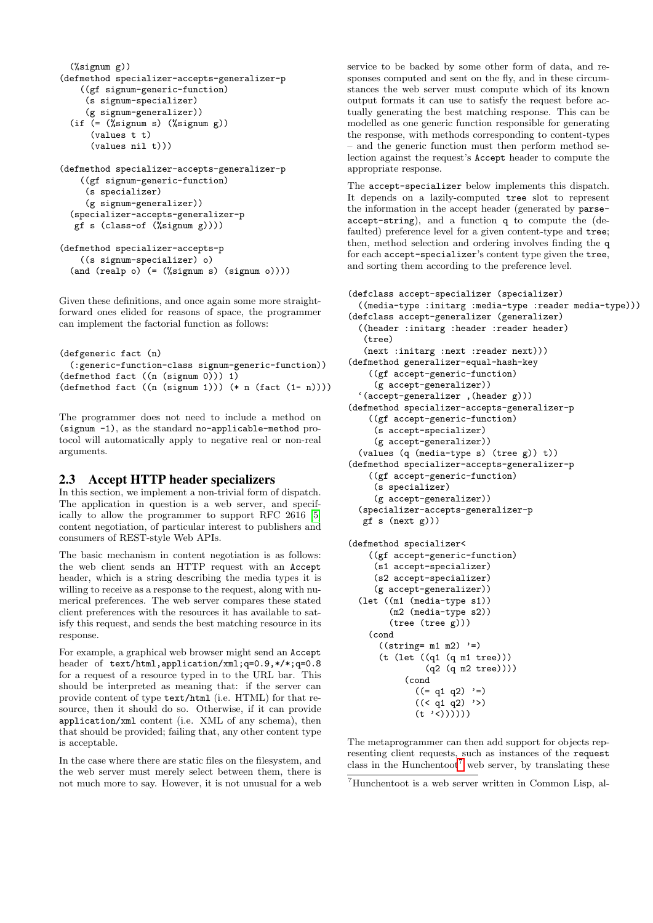```
(%signum g))
(defmethod specializer-accepts-generalizer-p
    ((gf signum-generic-function)
     (s signum-specializer)
    (g signum-generalizer))
 (if (= (%signum s) (%signum g))
      (values t t)
      (values nil t)))
(defmethod specializer-accepts-generalizer-p
```

```
((gf signum-generic-function)
  (s specializer)
  (g signum-generalizer))
(specializer-accepts-generalizer-p
gf s (class-of (%signum g))))
```

```
(defmethod specializer-accepts-p
   ((s signum-specializer) o)
 (and (realp o) (= (%signum s) (signum o))))
```
Given these definitions, and once again some more straightforward ones elided for reasons of space, the programmer can implement the factorial function as follows:

```
(defgeneric fact (n)
  (:generic-function-class signum-generic-function))
(defmethod fact ((n (signum 0))) 1)
(defmethod fact ((n (sigma 1))) (* n (fact (1 - n))))
```
The programmer does not need to include a method on (signum -1), as the standard no-applicable-method protocol will automatically apply to negative real or non-real arguments.

### <span id="page-3-0"></span>2.3 Accept HTTP header specializers

In this section, we implement a non-trivial form of dispatch. The application in question is a web server, and specifically to allow the programmer to support RFC 2616 [\[5\]](#page-7-11) content negotiation, of particular interest to publishers and consumers of REST-style Web APIs.

The basic mechanism in content negotiation is as follows: the web client sends an HTTP request with an Accept header, which is a string describing the media types it is willing to receive as a response to the request, along with numerical preferences. The web server compares these stated client preferences with the resources it has available to satisfy this request, and sends the best matching resource in its response.

For example, a graphical web browser might send an Accept header of text/html,application/xml;q=0.9,\*/\*;q=0.8 for a request of a resource typed in to the URL bar. This should be interpreted as meaning that: if the server can provide content of type text/html (i.e. HTML) for that resource, then it should do so. Otherwise, if it can provide application/xml content (i.e. XML of any schema), then that should be provided; failing that, any other content type is acceptable.

In the case where there are static files on the filesystem, and the web server must merely select between them, there is not much more to say. However, it is not unusual for a web service to be backed by some other form of data, and responses computed and sent on the fly, and in these circumstances the web server must compute which of its known output formats it can use to satisfy the request before actually generating the best matching response. This can be modelled as one generic function responsible for generating the response, with methods corresponding to content-types – and the generic function must then perform method selection against the request's Accept header to compute the appropriate response.

The accept-specializer below implements this dispatch. It depends on a lazily-computed tree slot to represent the information in the accept header (generated by parseaccept-string), and a function q to compute the (defaulted) preference level for a given content-type and tree; then, method selection and ordering involves finding the q for each accept-specializer's content type given the tree, and sorting them according to the preference level.

```
(defclass accept-specializer (specializer)
  ((media-type :initarg :media-type :reader media-type)))
(defclass accept-generalizer (generalizer)
  ((header :initarg :header :reader header)
   (tree)
   (next :initarg :next :reader next)))
(defmethod generalizer-equal-hash-key
    ((gf accept-generic-function)
     (g accept-generalizer))
  '(accept-generalizer ,(header g)))
(defmethod specializer-accepts-generalizer-p
    ((gf accept-generic-function)
     (s accept-specializer)
     (g accept-generalizer))
  (values (q (media-type s) (tree g)) t))
(defmethod specializer-accepts-generalizer-p
    ((gf accept-generic-function)
     (s specializer)
     (g accept-generalizer))
  (specializer-accepts-generalizer-p
   gf s (next g)))
(defmethod specializer<
    ((gf accept-generic-function)
     (s1 accept-specializer)
     (s2 accept-specializer)
     (g accept-generalizer))
  (let ((m1 (media-type s1))
        (m2 (media-type s2))
        (tree (tree g)))
    (cond
      ((string=m1 m2) '=)
      (t (let ((q1 (q m1 tree)))
               (q2 (q m2 tree))))
           (cond
             ((= q1 q2) '=)
             ((< q1 q2) '>)
             (t' \cdot \langle 0 \rangle))))
```
The metaprogrammer can then add support for objects representing client requests, such as instances of the request class in the Hunchentoot<sup>[7](#page-3-1)</sup> web server, by translating these

<span id="page-3-1"></span><sup>7</sup>Hunchentoot is a web server written in Common Lisp, al-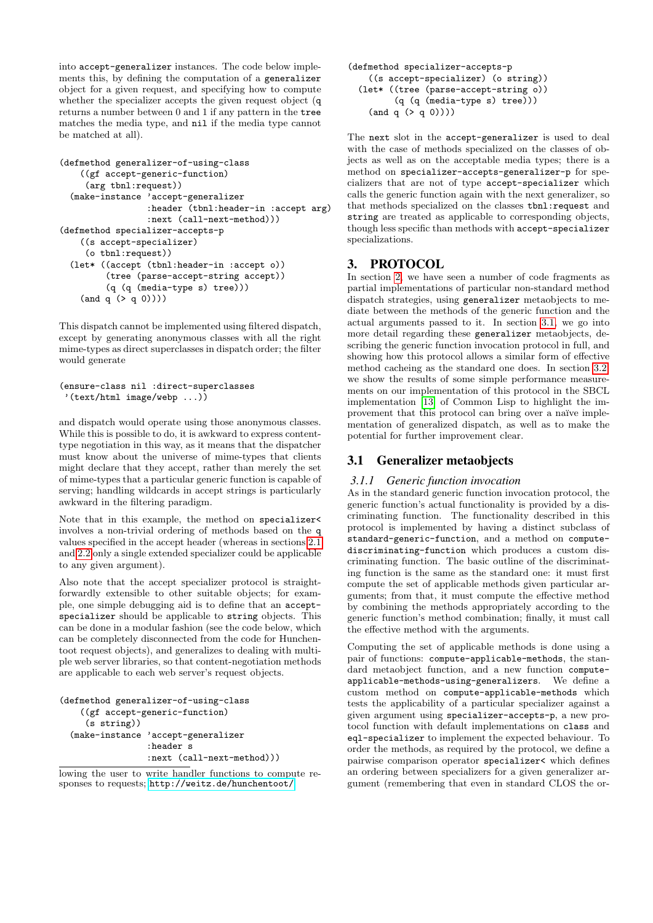into accept-generalizer instances. The code below implements this, by defining the computation of a generalizer object for a given request, and specifying how to compute whether the specializer accepts the given request object (q returns a number between 0 and 1 if any pattern in the tree matches the media type, and nil if the media type cannot be matched at all).

```
(defmethod generalizer-of-using-class
   ((gf accept-generic-function)
    (arg tbnl:request))
 (make-instance 'accept-generalizer
                 :header (tbnl:header-in :accept arg)
                 :next (call-next-method)))
(defmethod specializer-accepts-p
   ((s accept-specializer)
    (o tbnl:request))
 (let* ((accept (tbnl:header-in :accept o))
         (tree (parse-accept-string accept))
         (q (q (media-type s) tree)))
    (and q (> q 0))))
```
This dispatch cannot be implemented using filtered dispatch, except by generating anonymous classes with all the right mime-types as direct superclasses in dispatch order; the filter would generate

```
(ensure-class nil :direct-superclasses
 '(text/html image/webp ...))
```
and dispatch would operate using those anonymous classes. While this is possible to do, it is awkward to express contenttype negotiation in this way, as it means that the dispatcher must know about the universe of mime-types that clients might declare that they accept, rather than merely the set of mime-types that a particular generic function is capable of serving; handling wildcards in accept strings is particularly awkward in the filtering paradigm.

Note that in this example, the method on specializer< involves a non-trivial ordering of methods based on the q values specified in the accept header (whereas in sections [2.1](#page-1-6) and [2.2](#page-2-0) only a single extended specializer could be applicable to any given argument).

Also note that the accept specializer protocol is straightforwardly extensible to other suitable objects; for example, one simple debugging aid is to define that an acceptspecializer should be applicable to string objects. This can be done in a modular fashion (see the code below, which can be completely disconnected from the code for Hunchentoot request objects), and generalizes to dealing with multiple web server libraries, so that content-negotiation methods are applicable to each web server's request objects.

```
(defmethod generalizer-of-using-class
   ((gf accept-generic-function)
    (s string))
 (make-instance 'accept-generalizer
                 :header s
                 :next (call-next-method)))
```
lowing the user to write handler functions to compute responses to requests; <http://weitz.de/hunchentoot/>

```
(defmethod specializer-accepts-p
   ((s accept-specializer) (o string))
  (let* ((tree (parse-accept-string o))
         (q (q (media-type s) tree)))
    (and q (> q 0))))
```
The next slot in the accept-generalizer is used to deal with the case of methods specialized on the classes of objects as well as on the acceptable media types; there is a method on specializer-accepts-generalizer-p for specializers that are not of type accept-specializer which calls the generic function again with the next generalizer, so that methods specialized on the classes tbnl:request and string are treated as applicable to corresponding objects, though less specific than methods with accept-specializer specializations.

# <span id="page-4-0"></span>3. PROTOCOL

In section [2,](#page-1-4) we have seen a number of code fragments as partial implementations of particular non-standard method dispatch strategies, using generalizer metaobjects to mediate between the methods of the generic function and the actual arguments passed to it. In section [3.1,](#page-4-1) we go into more detail regarding these generalizer metaobjects, describing the generic function invocation protocol in full, and showing how this protocol allows a similar form of effective method cacheing as the standard one does. In section [3.2,](#page-5-1) we show the results of some simple performance measurements on our implementation of this protocol in the SBCL implementation [\[13\]](#page-7-9) of Common Lisp to highlight the improvement that this protocol can bring over a naïve implementation of generalized dispatch, as well as to make the potential for further improvement clear.

# <span id="page-4-1"></span>3.1 Generalizer metaobjects

### *3.1.1 Generic function invocation*

As in the standard generic function invocation protocol, the generic function's actual functionality is provided by a discriminating function. The functionality described in this protocol is implemented by having a distinct subclass of standard-generic-function, and a method on computediscriminating-function which produces a custom discriminating function. The basic outline of the discriminating function is the same as the standard one: it must first compute the set of applicable methods given particular arguments; from that, it must compute the effective method by combining the methods appropriately according to the generic function's method combination; finally, it must call the effective method with the arguments.

Computing the set of applicable methods is done using a pair of functions: compute-applicable-methods, the standard metaobject function, and a new function computeapplicable-methods-using-generalizers. We define a custom method on compute-applicable-methods which tests the applicability of a particular specializer against a given argument using specializer-accepts-p, a new protocol function with default implementations on class and eql-specializer to implement the expected behaviour. To order the methods, as required by the protocol, we define a pairwise comparison operator specializer< which defines an ordering between specializers for a given generalizer argument (remembering that even in standard CLOS the or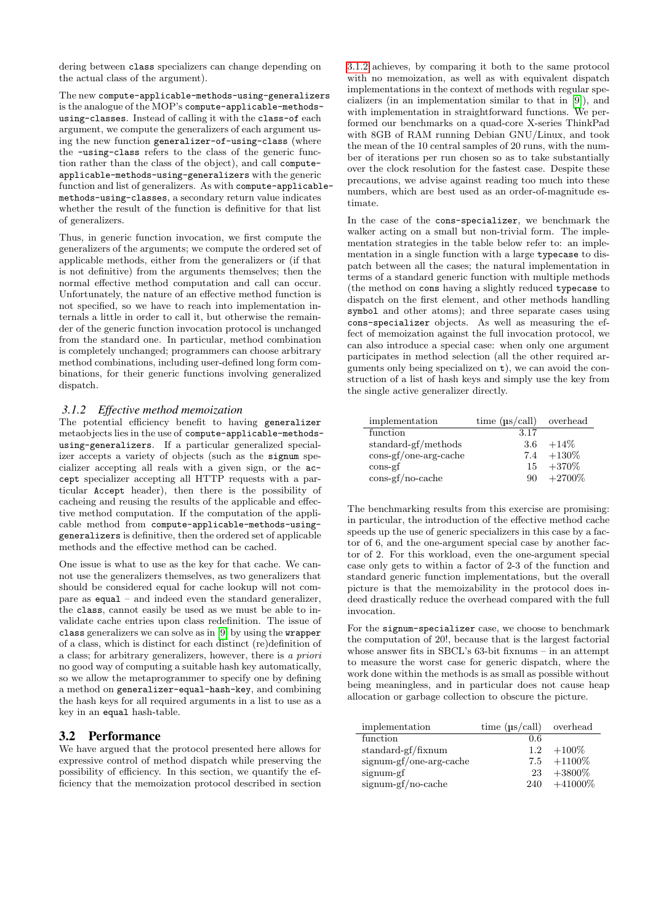dering between class specializers can change depending on the actual class of the argument).

The new compute-applicable-methods-using-generalizers is the analogue of the MOP's compute-applicable-methodsusing-classes. Instead of calling it with the class-of each argument, we compute the generalizers of each argument using the new function generalizer-of-using-class (where the -using-class refers to the class of the generic function rather than the class of the object), and call computeapplicable-methods-using-generalizers with the generic function and list of generalizers. As with compute-applicablemethods-using-classes, a secondary return value indicates whether the result of the function is definitive for that list of generalizers.

Thus, in generic function invocation, we first compute the generalizers of the arguments; we compute the ordered set of applicable methods, either from the generalizers or (if that is not definitive) from the arguments themselves; then the normal effective method computation and call can occur. Unfortunately, the nature of an effective method function is not specified, so we have to reach into implementation internals a little in order to call it, but otherwise the remainder of the generic function invocation protocol is unchanged from the standard one. In particular, method combination is completely unchanged; programmers can choose arbitrary method combinations, including user-defined long form combinations, for their generic functions involving generalized dispatch.

#### <span id="page-5-0"></span>*3.1.2 Effective method memoization*

The potential efficiency benefit to having generalizer metaobjects lies in the use of compute-applicable-methodsusing-generalizers. If a particular generalized specializer accepts a variety of objects (such as the signum specializer accepting all reals with a given sign, or the accept specializer accepting all HTTP requests with a particular Accept header), then there is the possibility of cacheing and reusing the results of the applicable and effective method computation. If the computation of the applicable method from compute-applicable-methods-usinggeneralizers is definitive, then the ordered set of applicable methods and the effective method can be cached.

One issue is what to use as the key for that cache. We cannot use the generalizers themselves, as two generalizers that should be considered equal for cache lookup will not compare as equal – and indeed even the standard generalizer, the class, cannot easily be used as we must be able to invalidate cache entries upon class redefinition. The issue of class generalizers we can solve as in [\[9\]](#page-7-12) by using the wrapper of a class, which is distinct for each distinct (re)definition of a class; for arbitrary generalizers, however, there is a priori no good way of computing a suitable hash key automatically, so we allow the metaprogrammer to specify one by defining a method on generalizer-equal-hash-key, and combining the hash keys for all required arguments in a list to use as a key in an equal hash-table.

### <span id="page-5-1"></span>3.2 Performance

We have argued that the protocol presented here allows for expressive control of method dispatch while preserving the possibility of efficiency. In this section, we quantify the efficiency that the memoization protocol described in section

[3.1.2](#page-5-0) achieves, by comparing it both to the same protocol with no memoization, as well as with equivalent dispatch implementations in the context of methods with regular specializers (in an implementation similar to that in [\[9\]](#page-7-12)), and with implementation in straightforward functions. We performed our benchmarks on a quad-core X-series ThinkPad with 8GB of RAM running Debian GNU/Linux, and took the mean of the 10 central samples of 20 runs, with the number of iterations per run chosen so as to take substantially over the clock resolution for the fastest case. Despite these precautions, we advise against reading too much into these numbers, which are best used as an order-of-magnitude estimate.

In the case of the cons-specializer, we benchmark the walker acting on a small but non-trivial form. The implementation strategies in the table below refer to: an implementation in a single function with a large typecase to dispatch between all the cases; the natural implementation in terms of a standard generic function with multiple methods (the method on cons having a slightly reduced typecase to dispatch on the first element, and other methods handling symbol and other atoms); and three separate cases using cons-specializer objects. As well as measuring the effect of memoization against the full invocation protocol, we can also introduce a special case: when only one argument participates in method selection (all the other required arguments only being specialized on t), we can avoid the construction of a list of hash keys and simply use the key from the single active generalizer directly.

| implementation                                                 | time $(\mu s / \text{call})$ overhead |               |
|----------------------------------------------------------------|---------------------------------------|---------------|
| function                                                       | 3.17                                  |               |
| standard-gf/methods                                            |                                       | $3.6 + 14\%$  |
| $\cos\left(\frac{f}{\cosh\theta}\right)$ cons-gf/one-arg-cache |                                       | $7.4 + 130\%$ |
| $\cos$ -gf                                                     |                                       | $15 + 370\%$  |
| $\cos\left(\frac{f}{10}\right)$ cache                          | 90.                                   | $+2700%$      |

The benchmarking results from this exercise are promising: in particular, the introduction of the effective method cache speeds up the use of generic specializers in this case by a factor of 6, and the one-argument special case by another factor of 2. For this workload, even the one-argument special case only gets to within a factor of 2-3 of the function and standard generic function implementations, but the overall picture is that the memoizability in the protocol does indeed drastically reduce the overhead compared with the full invocation.

For the signum-specializer case, we choose to benchmark the computation of 20!, because that is the largest factorial whose answer fits in SBCL's 63-bit fixnums – in an attempt to measure the worst case for generic dispatch, where the work done within the methods is as small as possible without being meaningless, and in particular does not cause heap allocation or garbage collection to obscure the picture.

| implementation          | time $(\mu s / \text{call})$ overhead |                |
|-------------------------|---------------------------------------|----------------|
| function                | 0.6                                   |                |
| $standard-gf/fixnum$    | 1.2 <sub>1</sub>                      | $+100\%$       |
| signum-gf/one-arg-cache |                                       | $7.5 + 1100\%$ |
| signum-gf               | 23                                    | $+3800\%$      |
| signum-gf/no-cache      | 240                                   | $+41000\%$     |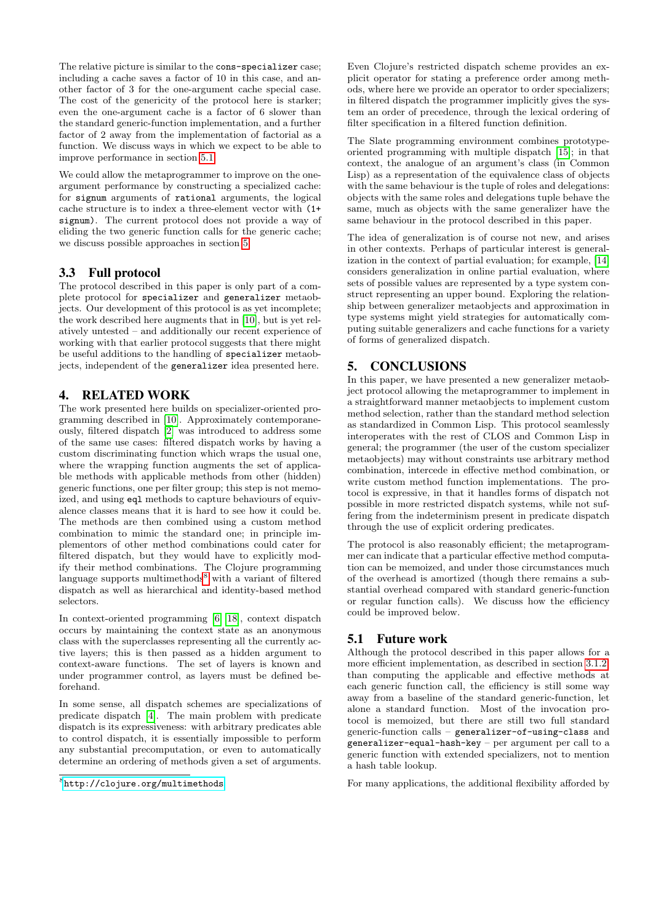The relative picture is similar to the cons-specializer case; including a cache saves a factor of 10 in this case, and another factor of 3 for the one-argument cache special case. The cost of the genericity of the protocol here is starker; even the one-argument cache is a factor of 6 slower than the standard generic-function implementation, and a further factor of 2 away from the implementation of factorial as a function. We discuss ways in which we expect to be able to improve performance in section [5.1.](#page-6-2)

We could allow the metaprogrammer to improve on the oneargument performance by constructing a specialized cache: for signum arguments of rational arguments, the logical cache structure is to index a three-element vector with (1+ signum). The current protocol does not provide a way of eliding the two generic function calls for the generic cache; we discuss possible approaches in section [5.](#page-6-1)

# 3.3 Full protocol

The protocol described in this paper is only part of a complete protocol for specializer and generalizer metaobjects. Our development of this protocol is as yet incomplete; the work described here augments that in [\[10\]](#page-7-8), but is yet relatively untested – and additionally our recent experience of working with that earlier protocol suggests that there might be useful additions to the handling of specializer metaobjects, independent of the generalizer idea presented here.

# <span id="page-6-0"></span>4. RELATED WORK

The work presented here builds on specializer-oriented programming described in [\[10\]](#page-7-8). Approximately contemporaneously, filtered dispatch [\[2\]](#page-7-10) was introduced to address some of the same use cases: filtered dispatch works by having a custom discriminating function which wraps the usual one, where the wrapping function augments the set of applicable methods with applicable methods from other (hidden) generic functions, one per filter group; this step is not memoized, and using eql methods to capture behaviours of equivalence classes means that it is hard to see how it could be. The methods are then combined using a custom method combination to mimic the standard one; in principle implementors of other method combinations could cater for filtered dispatch, but they would have to explicitly modify their method combinations. The Clojure programming language supports multimethods<sup>[8](#page-6-3)</sup> with a variant of filtered dispatch as well as hierarchical and identity-based method selectors.

In context-oriented programming [\[6,](#page-7-13) [18\]](#page-7-14), context dispatch occurs by maintaining the context state as an anonymous class with the superclasses representing all the currently active layers; this is then passed as a hidden argument to context-aware functions. The set of layers is known and under programmer control, as layers must be defined beforehand.

In some sense, all dispatch schemes are specializations of predicate dispatch [\[4\]](#page-7-15). The main problem with predicate dispatch is its expressiveness: with arbitrary predicates able to control dispatch, it is essentially impossible to perform any substantial precomputation, or even to automatically determine an ordering of methods given a set of arguments.

Even Clojure's restricted dispatch scheme provides an explicit operator for stating a preference order among methods, where here we provide an operator to order specializers; in filtered dispatch the programmer implicitly gives the system an order of precedence, through the lexical ordering of filter specification in a filtered function definition.

The Slate programming environment combines prototypeoriented programming with multiple dispatch [\[15\]](#page-7-16); in that context, the analogue of an argument's class (in Common Lisp) as a representation of the equivalence class of objects with the same behaviour is the tuple of roles and delegations: objects with the same roles and delegations tuple behave the same, much as objects with the same generalizer have the same behaviour in the protocol described in this paper.

The idea of generalization is of course not new, and arises in other contexts. Perhaps of particular interest is generalization in the context of partial evaluation; for example, [\[14\]](#page-7-17) considers generalization in online partial evaluation, where sets of possible values are represented by a type system construct representing an upper bound. Exploring the relationship between generalizer metaobjects and approximation in type systems might yield strategies for automatically computing suitable generalizers and cache functions for a variety of forms of generalized dispatch.

# <span id="page-6-1"></span>5. CONCLUSIONS

In this paper, we have presented a new generalizer metaobject protocol allowing the metaprogrammer to implement in a straightforward manner metaobjects to implement custom method selection, rather than the standard method selection as standardized in Common Lisp. This protocol seamlessly interoperates with the rest of CLOS and Common Lisp in general; the programmer (the user of the custom specializer metaobjects) may without constraints use arbitrary method combination, intercede in effective method combination, or write custom method function implementations. The protocol is expressive, in that it handles forms of dispatch not possible in more restricted dispatch systems, while not suffering from the indeterminism present in predicate dispatch through the use of explicit ordering predicates.

The protocol is also reasonably efficient; the metaprogrammer can indicate that a particular effective method computation can be memoized, and under those circumstances much of the overhead is amortized (though there remains a substantial overhead compared with standard generic-function or regular function calls). We discuss how the efficiency could be improved below.

# <span id="page-6-2"></span>5.1 Future work

Although the protocol described in this paper allows for a more efficient implementation, as described in section [3.1.2,](#page-5-0) than computing the applicable and effective methods at each generic function call, the efficiency is still some way away from a baseline of the standard generic-function, let alone a standard function. Most of the invocation protocol is memoized, but there are still two full standard generic-function calls – generalizer-of-using-class and generalizer-equal-hash-key – per argument per call to a generic function with extended specializers, not to mention a hash table lookup.

For many applications, the additional flexibility afforded by

<span id="page-6-3"></span><sup>8</sup> <http://clojure.org/multimethods>